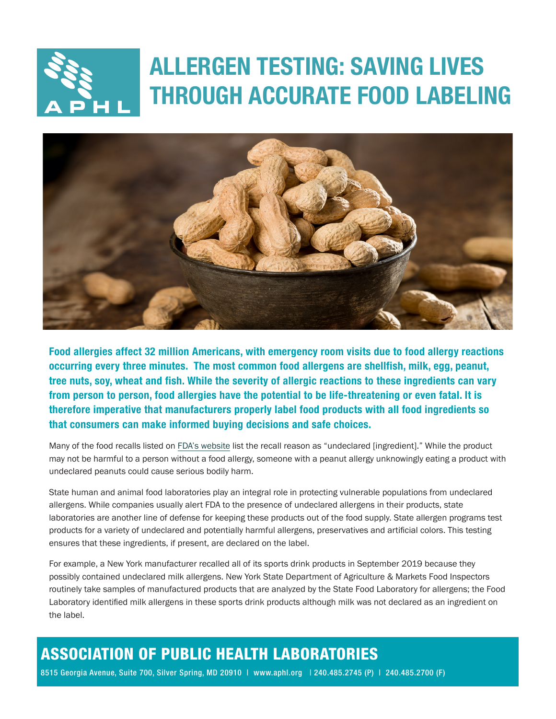## ALLERGEN TESTING: SAVING LIVES THROUGH ACCURATE FOOD LABELING



Food allergies affect 32 million Americans, with emergency room visits due to food allergy reactions occurring every three minutes. The most common food allergens are shellfish, milk, egg, peanut, tree nuts, soy, wheat and fish. While the severity of allergic reactions to these ingredients can vary from person to person, food allergies have the potential to be life-threatening or even fatal. It is therefore imperative that manufacturers properly label food products with all food ingredients so that consumers can make informed buying decisions and safe choices.

Many of the food recalls listed on [FDA's website](https://www.fda.gov/safety/recalls-market-withdrawals-safety-alerts) list the recall reason as "undeclared [ingredient]." While the product may not be harmful to a person without a food allergy, someone with a peanut allergy unknowingly eating a product with undeclared peanuts could cause serious bodily harm.

State human and animal food laboratories play an integral role in protecting vulnerable populations from undeclared allergens. While companies usually alert FDA to the presence of undeclared allergens in their products, state laboratories are another line of defense for keeping these products out of the food supply. State allergen programs test products for a variety of undeclared and potentially harmful allergens, preservatives and artificial colors. This testing ensures that these ingredients, if present, are declared on the label.

For example, a New York manufacturer recalled all of its sports drink products in September 2019 because they possibly contained undeclared milk allergens. New York State Department of Agriculture & Markets Food Inspectors routinely take samples of manufactured products that are analyzed by the State Food Laboratory for allergens; the Food Laboratory identified milk allergens in these sports drink products although milk was not declared as an ingredient on the label.

## ASSOCIATION OF PUBLIC HEALTH LABORATORIES

8515 Georgia Avenue, Suite 700, Silver Spring, MD 20910 | www.aphl.org | 240.485.2745 (P) | 240.485.2700 (F)